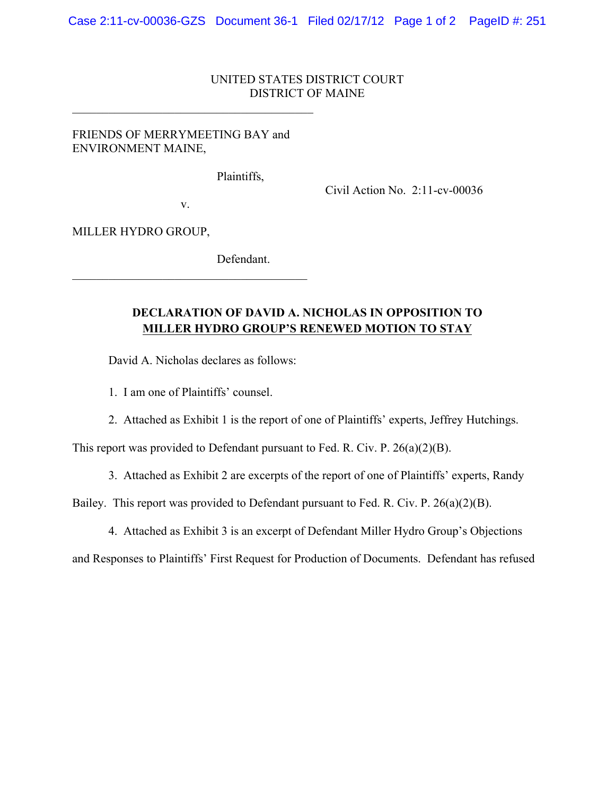## UNITED STATES DISTRICT COURT DISTRICT OF MAINE

## FRIENDS OF MERRYMEETING BAY and ENVIRONMENT MAINE,

 $\mathcal{L}_\text{max}$  , and the set of the set of the set of the set of the set of the set of the set of the set of the set of the set of the set of the set of the set of the set of the set of the set of the set of the set of the

Plaintiffs,

Civil Action No. 2:11-cv-00036

v.

 $\mathcal{L}_\text{max}$ 

MILLER HYDRO GROUP,

Defendant.

## **DECLARATION OF DAVID A. NICHOLAS IN OPPOSITION TO MILLER HYDRO GROUP'S RENEWED MOTION TO STAY**

David A. Nicholas declares as follows:

1. I am one of Plaintiffs' counsel.

2. Attached as Exhibit 1 is the report of one of Plaintiffs' experts, Jeffrey Hutchings.

This report was provided to Defendant pursuant to Fed. R. Civ. P. 26(a)(2)(B).

3. Attached as Exhibit 2 are excerpts of the report of one of Plaintiffs' experts, Randy

Bailey. This report was provided to Defendant pursuant to Fed. R. Civ. P. 26(a)(2)(B).

4. Attached as Exhibit 3 is an excerpt of Defendant Miller Hydro Group's Objections

and Responses to Plaintiffs' First Request for Production of Documents. Defendant has refused